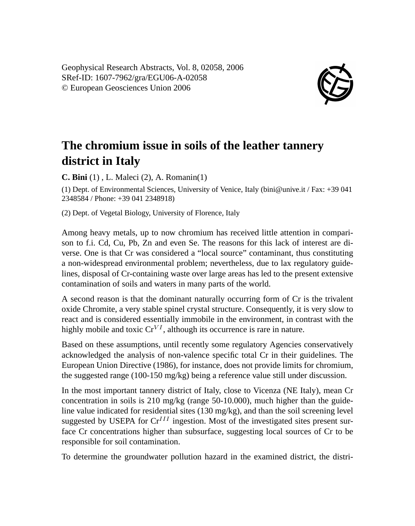Geophysical Research Abstracts, Vol. 8, 02058, 2006 SRef-ID: 1607-7962/gra/EGU06-A-02058 © European Geosciences Union 2006



## **The chromium issue in soils of the leather tannery district in Italy**

**C. Bini** (1) , L. Maleci (2), A. Romanin(1)

(1) Dept. of Environmental Sciences, University of Venice, Italy (bini@unive.it / Fax: +39 041 2348584 / Phone: +39 041 2348918)

(2) Dept. of Vegetal Biology, University of Florence, Italy

Among heavy metals, up to now chromium has received little attention in comparison to f.i. Cd, Cu, Pb, Zn and even Se. The reasons for this lack of interest are diverse. One is that Cr was considered a "local source" contaminant, thus constituting a non-widespread environmental problem; nevertheless, due to lax regulatory guidelines, disposal of Cr-containing waste over large areas has led to the present extensive contamination of soils and waters in many parts of the world.

A second reason is that the dominant naturally occurring form of Cr is the trivalent oxide Chromite, a very stable spinel crystal structure. Consequently, it is very slow to react and is considered essentially immobile in the environment, in contrast with the highly mobile and toxic  $Cr^{VI}$ , although its occurrence is rare in nature.

Based on these assumptions, until recently some regulatory Agencies conservatively acknowledged the analysis of non-valence specific total Cr in their guidelines. The European Union Directive (1986), for instance, does not provide limits for chromium, the suggested range (100-150 mg/kg) being a reference value still under discussion.

In the most important tannery district of Italy, close to Vicenza (NE Italy), mean Cr concentration in soils is 210 mg/kg (range 50-10.000), much higher than the guideline value indicated for residential sites (130 mg/kg), and than the soil screening level suggested by USEPA for  $Cr^{III}$  ingestion. Most of the investigated sites present surface Cr concentrations higher than subsurface, suggesting local sources of Cr to be responsible for soil contamination.

To determine the groundwater pollution hazard in the examined district, the distri-